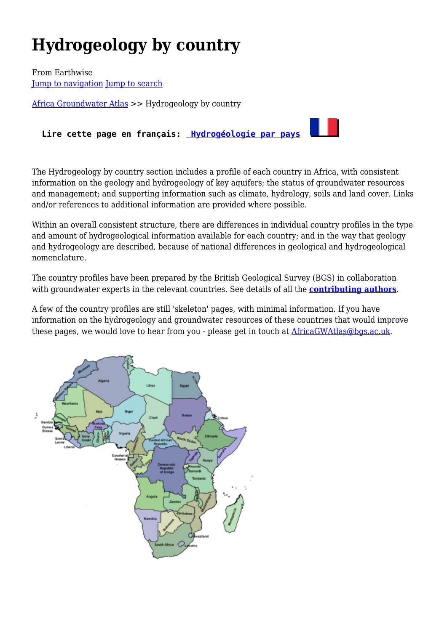# **Hydrogeology by country**

From Earthwise [Jump to navigation](#page--1-0) [Jump to search](#page--1-0)

[Africa Groundwater Atlas](http://earthwise.bgs.ac.uk/index.php/Africa_Groundwater_Atlas_Home) >> Hydrogeology by country

**Lire cette page en français: [Hydrogéologie par pays](http://earthwise.bgs.ac.uk/index.php/Hydrog%C3%A9ologie_par_pays)**

The Hydrogeology by country section includes a profile of each country in Africa, with consistent information on the geology and hydrogeology of key aquifers; the status of groundwater resources and management; and supporting information such as climate, hydrology, soils and land cover. Links and/or references to additional information are provided where possible.

Within an overall consistent structure, there are differences in individual country profiles in the type and amount of hydrogeological information available for each country; and in the way that geology and hydrogeology are described, because of national differences in geological and hydrogeological nomenclature.

The country profiles have been prepared by the British Geological Survey (BGS) in collaboration with groundwater experts in the relevant countries. See details of all the **[contributing authors](http://earthwise.bgs.ac.uk/index.php/List_of_Authors)**.

A few of the country profiles are still 'skeleton' pages, with minimal information. If you have information on the hydrogeology and groundwater resources of these countries that would improve these pages, we would love to hear from you - please get in touch at **AfricaGWAtlas@bgs.ac.uk.** 

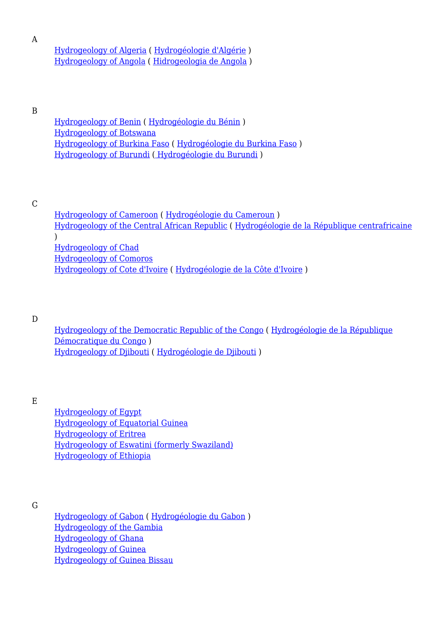A

#### [Hydrogeology of Algeria](http://earthwise.bgs.ac.uk/index.php/Hydrogeology_of_Algeria) ( [Hydrogéologie d'Algérie](http://earthwise.bgs.ac.uk/index.php/Hydrog%C3%A9ologie_d%27Alg%C3%A9rie) ) [Hydrogeology of Angola](http://earthwise.bgs.ac.uk/index.php/Hydrogeology_of_Angola) ( [Hidrogeologia de Angola](http://earthwise.bgs.ac.uk/index.php/Hidrogeologia_de_Angola) )

B

[Hydrogeology of Benin](http://earthwise.bgs.ac.uk/index.php/Hydrogeology_of_Benin) ( [Hydrogéologie du Bénin](http://earthwise.bgs.ac.uk/index.php/Hydrog%C3%A9ologie_du_B%C3%A9nin) ) [Hydrogeology of Botswana](http://earthwise.bgs.ac.uk/index.php/Hydrogeology_of_Botswana) [Hydrogeology of Burkina Faso](http://earthwise.bgs.ac.uk/index.php/Hydrogeology_of_Burkina_Faso) ( [Hydrogéologie du Burkina Faso](http://earthwise.bgs.ac.uk/index.php/Hydrog%C3%A9ologie_du_Burkina_Faso) ) [Hydrogeology of Burundi](http://earthwise.bgs.ac.uk/index.php/Hydrogeology_of_Burundi) ( [Hydrogéologie du Burundi](http://earthwise.bgs.ac.uk/index.php/Hydrog%C3%A9ologie_du_Burundi) )

C

[Hydrogeology of Cameroon](http://earthwise.bgs.ac.uk/index.php/Hydrogeology_of_Cameroon) ( [Hydrogéologie du Cameroun](http://earthwise.bgs.ac.uk/index.php/Hydrog%C3%A9ologie_du_Cameroun) ) [Hydrogeology of the Central African Republic](http://earthwise.bgs.ac.uk/index.php/Hydrogeology_of_Central_African_Republic) ( [Hydrogéologie de la République centrafricaine](http://earthwise.bgs.ac.uk/index.php/Hydrog%C3%A9ologie_de_la_R%C3%A9publique_centrafricaine)  $\lambda$ [Hydrogeology of Chad](http://earthwise.bgs.ac.uk/index.php/Hydrogeology_of_Chad) [Hydrogeology of Comoros](http://earthwise.bgs.ac.uk/index.php/Hydrogeology_of_Comoros) [Hydrogeology of Cote d'Ivoire](http://earthwise.bgs.ac.uk/index.php/Hydrogeology_of_Cote_d%27Ivoire) ( [Hydrogéologie de la Côte d'Ivoire](http://earthwise.bgs.ac.uk/index.php/Hydrog%C3%A9ologie_de_la_C%C3%B4te_d%27Ivoire) )

D

[Hydrogeology of the Democratic Republic of the Congo](http://earthwise.bgs.ac.uk/index.php/Hydrogeology_of_Democratic_Republic_of_the_Congo) ( [Hydrogéologie de la République](http://earthwise.bgs.ac.uk/index.php/Hydrog%C3%A9ologie_de_la_R%C3%A9publique_D%C3%A9mocratique_du_Congo) [Démocratique du Congo](http://earthwise.bgs.ac.uk/index.php/Hydrog%C3%A9ologie_de_la_R%C3%A9publique_D%C3%A9mocratique_du_Congo) ) [Hydrogeology of Djibouti](http://earthwise.bgs.ac.uk/index.php/Hydrogeology_of_Djibouti) ( [Hydrogéologie de Djibouti](http://earthwise.bgs.ac.uk/index.php/Hydrog%C3%A9ologie_de_Djibouti) )

E

[Hydrogeology of Egypt](http://earthwise.bgs.ac.uk/index.php/Hydrogeology_of_Egypt) [Hydrogeology of Equatorial Guinea](http://earthwise.bgs.ac.uk/index.php/Hydrogeology_of_Equatorial_Guinea) [Hydrogeology of Eritrea](http://earthwise.bgs.ac.uk/index.php/Hydrogeology_of_Eritrea) [Hydrogeology of Eswatini \(formerly Swaziland\)](http://earthwise.bgs.ac.uk/index.php/Hydrogeology_of_Swaziland) [Hydrogeology of Ethiopia](http://earthwise.bgs.ac.uk/index.php/Hydrogeology_of_Ethiopia)

G

[Hydrogeology of Gabon](http://earthwise.bgs.ac.uk/index.php/Hydrogeology_of_Gabon) ( [Hydrogéologie du Gabon](http://earthwise.bgs.ac.uk/index.php/Hydrog%C3%A9ologie_du_Gabon) ) [Hydrogeology of the Gambia](http://earthwise.bgs.ac.uk/index.php/Hydrogeology_of_Gambia) [Hydrogeology of Ghana](http://earthwise.bgs.ac.uk/index.php/Hydrogeology_of_Ghana) [Hydrogeology of Guinea](http://earthwise.bgs.ac.uk/index.php/Hydrogeology_of_Guinea) [Hydrogeology of Guinea Bissau](http://earthwise.bgs.ac.uk/index.php/Hydrogeology_of_Guinea_Bissau)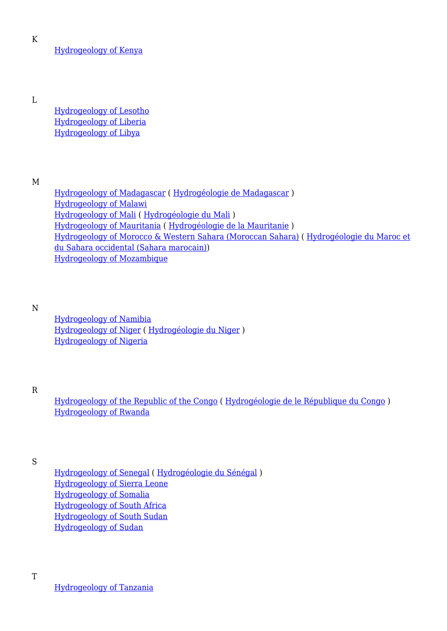K

[Hydrogeology of Kenya](http://earthwise.bgs.ac.uk/index.php/Hydrogeology_of_Kenya)

L

[Hydrogeology of Lesotho](http://earthwise.bgs.ac.uk/index.php/Hydrogeology_of_Lesotho) [Hydrogeology of Liberia](http://earthwise.bgs.ac.uk/index.php/Hydrogeology_of_Liberia) [Hydrogeology of Libya](http://earthwise.bgs.ac.uk/index.php/Hydrogeology_of_Libya)

M

[Hydrogeology of Madagascar](http://earthwise.bgs.ac.uk/index.php/Hydrogeology_of_Madagascar) ( [Hydrogéologie de Madagascar](http://earthwise.bgs.ac.uk/index.php/Hydrog%C3%A9ologie_de_Madagascar) ) [Hydrogeology of Malawi](http://earthwise.bgs.ac.uk/index.php/Hydrogeology_of_Malawi) [Hydrogeology of Mali](http://earthwise.bgs.ac.uk/index.php/Hydrogeology_of_Mali) ( [Hydrogéologie du Mali](http://earthwise.bgs.ac.uk/index.php/Hydrog%C3%A9ologie_du_Mali) ) [Hydrogeology of Mauritania](http://earthwise.bgs.ac.uk/index.php/Hydrogeology_of_Mauritania) ( [Hydrogéologie de la Mauritanie](http://earthwise.bgs.ac.uk/index.php/Hydrog%C3%A9ologie_de_la_Mauritanie) ) [Hydrogeology of Morocco & Western Sahara \(Moroccan Sahara\)](http://earthwise.bgs.ac.uk/index.php/Hydrogeology_of_Morocco_%26_Western_Sahara_(Moroccan_Sahara)) ( [Hydrogéologie du Maroc et](http://earthwise.bgs.ac.uk/index.php/Hydrog%C3%A9ologie_du_Maroc_et_du_Sahara_occidental_(Sahara_marocain)) [du Sahara occidental \(Sahara marocain\)](http://earthwise.bgs.ac.uk/index.php/Hydrog%C3%A9ologie_du_Maroc_et_du_Sahara_occidental_(Sahara_marocain))) [Hydrogeology of Mozambique](http://earthwise.bgs.ac.uk/index.php/Hydrogeology_of_Mozambique)

N

[Hydrogeology of Namibia](http://earthwise.bgs.ac.uk/index.php/Hydrogeology_of_Namibia) [Hydrogeology of Niger](http://earthwise.bgs.ac.uk/index.php/Hydrogeology_of_Niger) ( [Hydrogéologie du Niger](http://earthwise.bgs.ac.uk/index.php/Hydrog%C3%A9ologie_du_Niger) ) [Hydrogeology of Nigeria](http://earthwise.bgs.ac.uk/index.php/Hydrogeology_of_Nigeria)

R

[Hydrogeology of the Republic of the Congo](http://earthwise.bgs.ac.uk/index.php/Hydrogeology_of_Republic_of_Congo) ( [Hydrogéologie de le République du Congo](http://earthwise.bgs.ac.uk/index.php/Hydrog%C3%A9ologie_de_le_R%C3%A9publique_du_Congo) ) [Hydrogeology of Rwanda](http://earthwise.bgs.ac.uk/index.php/Hydrogeology_of_Rwanda)

S

[Hydrogeology of Senegal](http://earthwise.bgs.ac.uk/index.php/Hydrogeology_of_Senegal) ( [Hydrogéologie du Sénégal](http://earthwise.bgs.ac.uk/index.php/Hydrog%C3%A9ologie_du_S%C3%A9n%C3%A9gal) ) [Hydrogeology of Sierra Leone](http://earthwise.bgs.ac.uk/index.php/Hydrogeology_of_Sierra_Leone) [Hydrogeology of Somalia](http://earthwise.bgs.ac.uk/index.php/Hydrogeology_of_Somalia) [Hydrogeology of South Africa](http://earthwise.bgs.ac.uk/index.php/Hydrogeology_of_South_Africa) [Hydrogeology of South Sudan](http://earthwise.bgs.ac.uk/index.php/Hydrogeology_of_South_Sudan) [Hydrogeology of Sudan](http://earthwise.bgs.ac.uk/index.php/Hydrogeology_of_Sudan)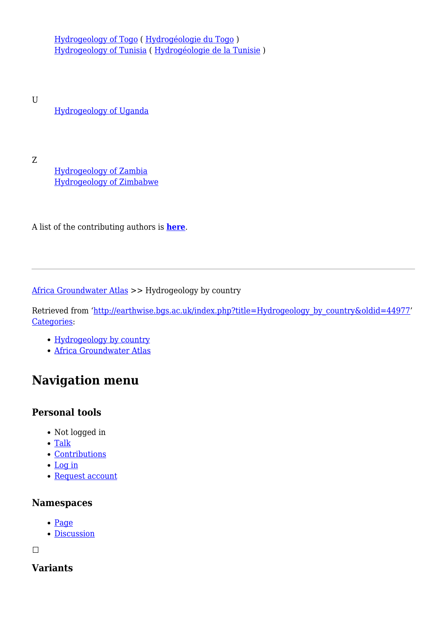[Hydrogeology of Togo](http://earthwise.bgs.ac.uk/index.php/Hydrogeology_of_Togo) ( [Hydrogéologie du Togo](http://earthwise.bgs.ac.uk/index.php/Hydrog%C3%A9ologie_du_Togo) ) [Hydrogeology of Tunisia](http://earthwise.bgs.ac.uk/index.php/Hydrogeology_of_Tunisia) ( [Hydrogéologie de la Tunisie](http://earthwise.bgs.ac.uk/index.php/Hydrog%C3%A9ologie_de_la_Tunisie) )

U [Hydrogeology of Uganda](http://earthwise.bgs.ac.uk/index.php/Hydrogeology_of_Uganda)

Z

[Hydrogeology of Zambia](http://earthwise.bgs.ac.uk/index.php/Hydrogeology_of_Zambia) [Hydrogeology of Zimbabwe](http://earthwise.bgs.ac.uk/index.php/Hydrogeology_of_Zimbabwe)

A list of the contributing authors is **[here](http://earthwise.bgs.ac.uk/index.php/List_of_Authors)**.

#### [Africa Groundwater Atlas](http://earthwise.bgs.ac.uk/index.php/Africa_Groundwater_Atlas_Home) >> Hydrogeology by country

Retrieved from ['http://earthwise.bgs.ac.uk/index.php?title=Hydrogeology\\_by\\_country&oldid=44977](http://earthwise.bgs.ac.uk/index.php?title=Hydrogeology_by_country&oldid=44977)' [Categories:](http://earthwise.bgs.ac.uk/index.php/Special:Categories)

- [Hydrogeology by country](http://earthwise.bgs.ac.uk/index.php/Category:Hydrogeology_by_country)
- [Africa Groundwater Atlas](http://earthwise.bgs.ac.uk/index.php/Category:Africa_Groundwater_Atlas)

# **Navigation menu**

# **Personal tools**

- Not logged in
- [Talk](http://earthwise.bgs.ac.uk/index.php/Special:MyTalk)
- [Contributions](http://earthwise.bgs.ac.uk/index.php/Special:MyContributions)
- [Log in](http://earthwise.bgs.ac.uk/index.php?title=Special:UserLogin&returnto=Hydrogeology+by+country&returntoquery=action%3Dmpdf)
- [Request account](http://earthwise.bgs.ac.uk/index.php/Special:RequestAccount)

# **Namespaces**

- [Page](http://earthwise.bgs.ac.uk/index.php/Hydrogeology_by_country)
- [Discussion](http://earthwise.bgs.ac.uk/index.php?title=Talk:Hydrogeology_by_country&action=edit&redlink=1)

 $\Box$ 

# **Variants**